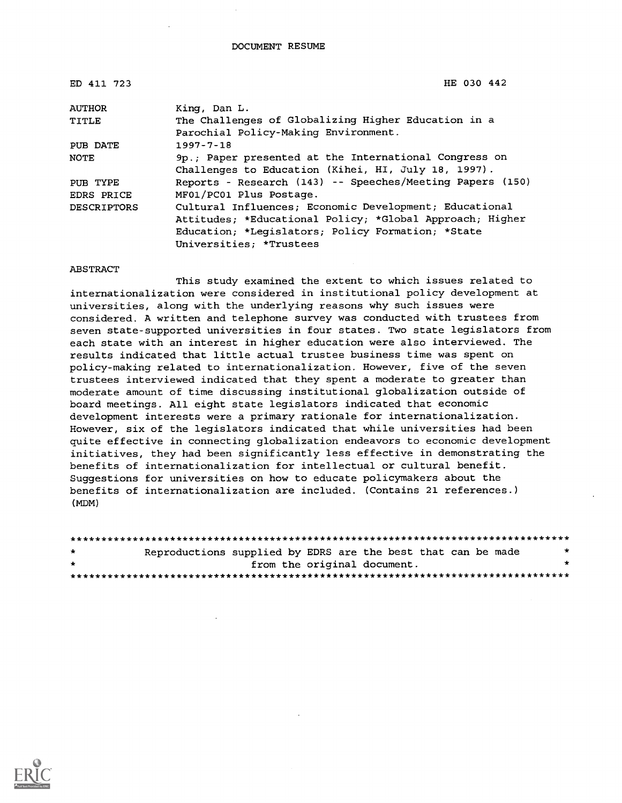| ED 411 723         | HE 030 442                                                |
|--------------------|-----------------------------------------------------------|
| AUTHOR             | King, Dan L.                                              |
| TITLE              | The Challenges of Globalizing Higher Education in a       |
|                    | Parochial Policy-Making Environment.                      |
| PUB DATE           | $1997 - 7 - 18$                                           |
| <b>NOTE</b>        | 9p.; Paper presented at the International Congress on     |
|                    | Challenges to Education (Kihei, HI, July 18, 1997).       |
| PUB TYPE           | Reports - Research (143) -- Speeches/Meeting Papers (150) |
| EDRS PRICE         | MF01/PC01 Plus Postage.                                   |
| <b>DESCRIPTORS</b> | Cultural Influences; Economic Development; Educational    |
|                    | Attitudes; *Educational Policy; *Global Approach; Higher  |
|                    | Education; *Legislators; Policy Formation; *State         |
|                    | Universities; *Trustees                                   |

ABSTRACT

This study examined the extent to which issues related to internationalization were considered in institutional policy development at universities, along with the underlying reasons why such issues were considered. A written and telephone survey was conducted with trustees from seven state-supported universities in four states. Two state legislators from each state with an interest in higher education were also interviewed. The results indicated that little actual trustee business time was spent on policy-making related to internationalization. However, five of the seven trustees interviewed indicated that they spent a moderate to greater than moderate amount of time discussing institutional globalization outside of board meetings. All eight state legislators indicated that economic development interests were a primary rationale for internationalization. However, six of the legislators indicated that while universities had been quite effective in connecting globalization endeavors to economic development initiatives, they had been significantly less effective in demonstrating the benefits of internationalization for intellectual or cultural benefit. Suggestions for universities on how to educate policymakers about the benefits of internationalization are included. (Contains 21 references.) (MDM)

| $\star$ | Reproductions supplied by EDRS are the best that can be made |                             |  |  |  |  | $\star$ |
|---------|--------------------------------------------------------------|-----------------------------|--|--|--|--|---------|
| $\star$ |                                                              | from the original document. |  |  |  |  |         |
|         |                                                              |                             |  |  |  |  |         |

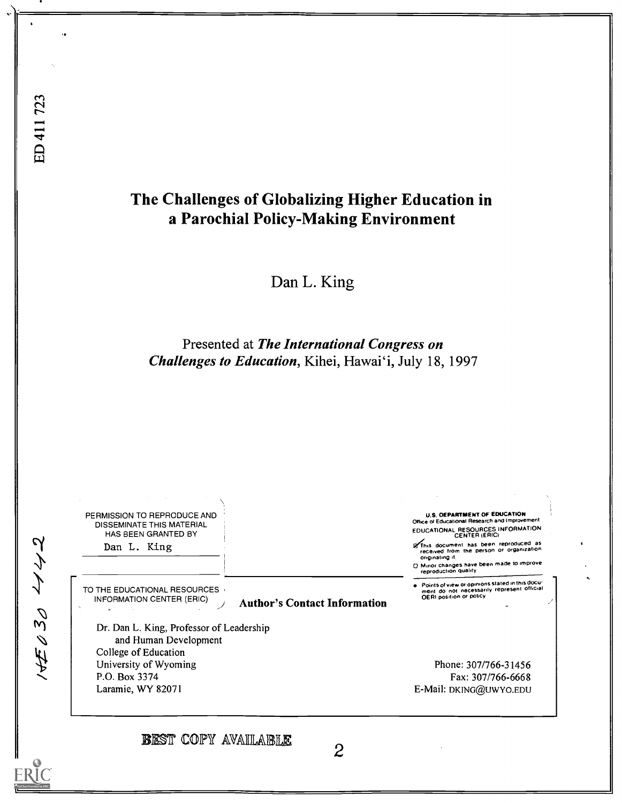RĬC

## The Challenges of Globalizing Higher Education in a Parochial Policy-Making Environment

Dan L. King

Presented at The International Congress on Challenges to Education, Kihei, Hawai'i, July 18, 1997

U.S. DEPARTMENT OF EDUCATION PERMISSION TO REPRODUCE AND Office of Educational Research and Improvement DISSEMINATE THIS MATERIAL EDUCATIONAL RESOURCES INFORMATION CENTER (ERIC) HAS BEEN GRANTED BY 14月030 1142 of This document has been reproduced as<br>received from the person or organization<br>originating it. Dan L. King o Minor changes have been made to improve reproduction quality Points of new or opinions stated in this docu- ment do not necessarily represent official OE RI position or policy TO THE EDUCATIONAL RESOURCES (INFORMATION CENTER (ERIC) Author's Contact Information Dr. Dan L. King, Professor of Leadership and Human Development College of Education University of Wyoming Phone: 307/766-31456 P.O. Box 3374 Fax: 307/766-6668 Laramie, WY 82071 E-Mail: DKING@UWYO.EDU **BEST COPY AVAILABLE** 2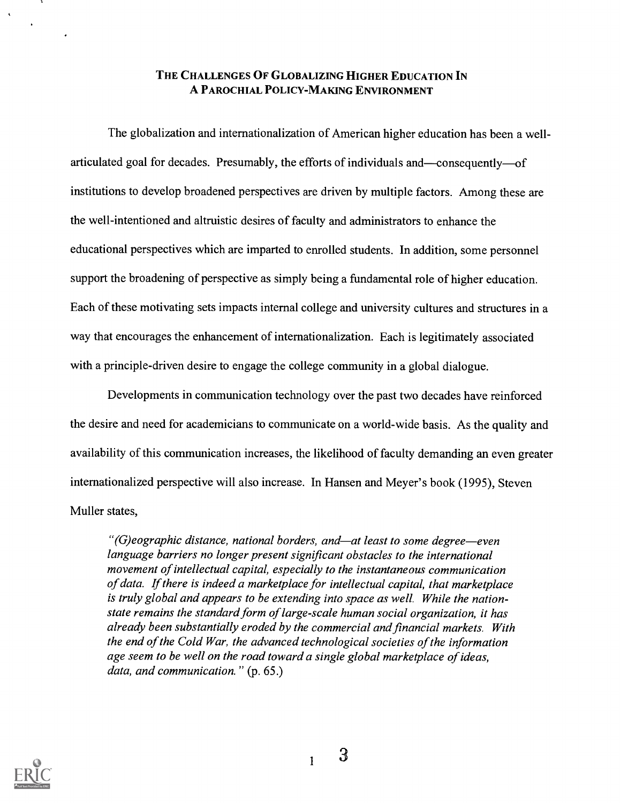### THE CHALLENGES OF GLOBALIZING HIGHER EDUCATION IN A PAROCHIAL POLICY-MAKING ENVIRONMENT

The globalization and internationalization of American higher education has been a wellarticulated goal for decades. Presumably, the efforts of individuals and—consequently—of institutions to develop broadened perspectives are driven by multiple factors. Among these are the well-intentioned and altruistic desires of faculty and administrators to enhance the educational perspectives which are imparted to enrolled students. In addition, some personnel support the broadening of perspective as simply being a fundamental role of higher education. Each of these motivating sets impacts internal college and university cultures and structures in a way that encourages the enhancement of internationalization. Each is legitimately associated with a principle-driven desire to engage the college community in a global dialogue.

Developments in communication technology over the past two decades have reinforced the desire and need for academicians to communicate on a world-wide basis. As the quality and availability of this communication increases, the likelihood of faculty demanding an even greater internationalized perspective will also increase. In Hansen and Meyer's book (1995), Steven Muller states,

"(G)eographic distance, national borders, and—at least to some degree—even language barriers no longer present significant obstacles to the international movement of intellectual capital, especially to the instantaneous communication of data. If there is indeed a marketplace for intellectual capital, that marketplace is truly global and appears to be extending into space as well. While the nationstate remains the standard form of large-scale human social organization, it has already been substantially eroded by the commercial and financial markets. With the end of the Cold War, the advanced technological societies of the information age seem to be well on the road toward a single global marketplace of ideas, data, and communication." (p. 65.)

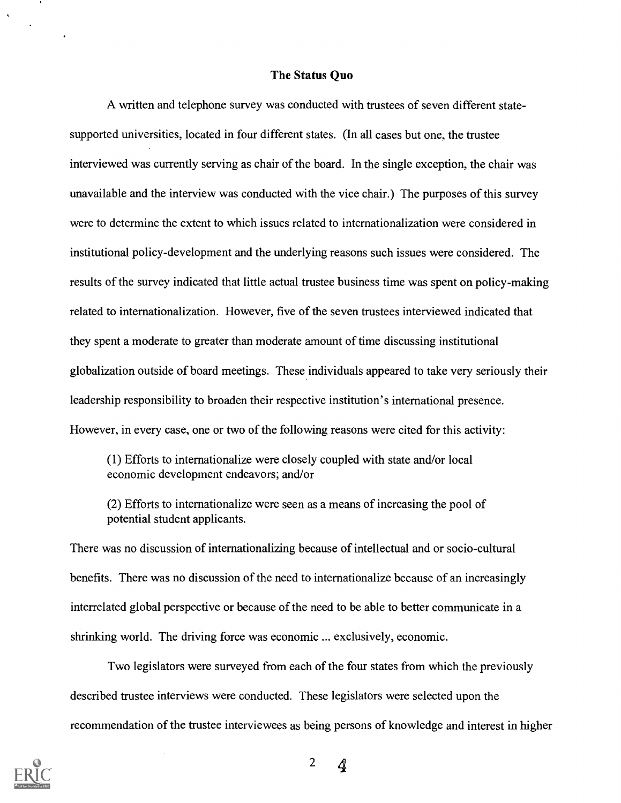#### The Status Quo

A written and telephone survey was conducted with trustees of seven different statesupported universities, located in four different states. (In all cases but one, the trustee interviewed was currently serving as chair of the board. In the single exception, the chair was unavailable and the interview was conducted with the vice chair.) The purposes of this survey were to determine the extent to which issues related to internationalization were considered in institutional policy-development and the underlying reasons such issues were considered. The results of the survey indicated that little actual trustee business time was spent on policy-making related to internationalization. However, five of the seven trustees interviewed indicated that they spent a moderate to greater than moderate amount of time discussing institutional globalization outside of board meetings. These individuals appeared to take very seriously their leadership responsibility to broaden their respective institution's international presence. However, in every case, one or two of the following reasons were cited for this activity:

(1) Efforts to internationalize were closely coupled with state and/or local economic development endeavors; and/or

(2) Efforts to internationalize were seen as a means of increasing the pool of potential student applicants.

There was no discussion of internationalizing because of intellectual and or socio-cultural benefits. There was no discussion of the need to internationalize because of an increasingly interrelated global perspective or because of the need to be able to better communicate in a shrinking world. The driving force was economic ... exclusively, economic.

Two legislators were surveyed from each of the four states from which the previously described trustee interviews were conducted. These legislators were selected upon the recommendation of the trustee interviewees as being persons of knowledge and interest in higher



<sup>2</sup> 4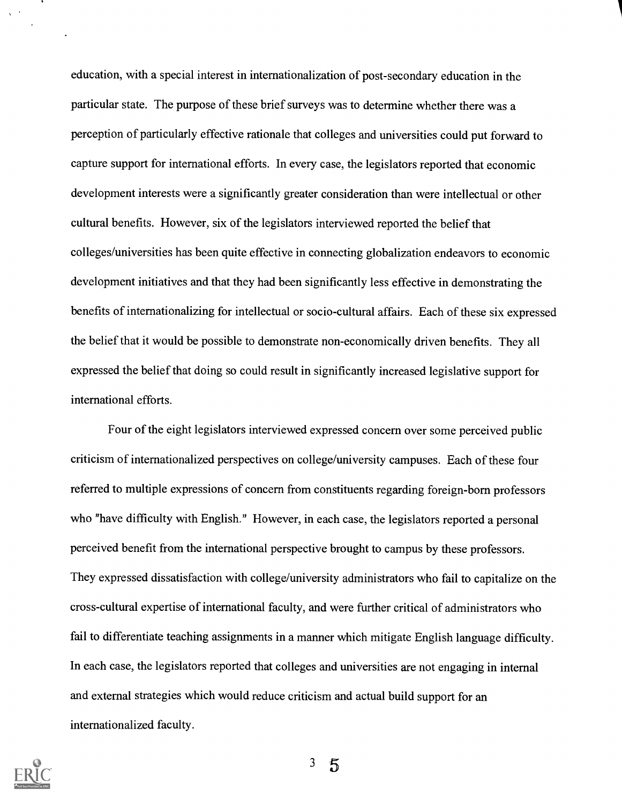education, with a special interest in internationalization of post-secondary education in the particular state. The purpose of these brief surveys was to determine whether there was a perception of particularly effective rationale that colleges and universities could put forward to capture support for international efforts. In every case, the legislators reported that economic development interests were a significantly greater consideration than were intellectual or other cultural benefits. However, six of the legislators interviewed reported the belief that colleges/universities has been quite effective in connecting globalization endeavors to economic development initiatives and that they had been significantly less effective in demonstrating the benefits of internationalizing for intellectual or socio-cultural affairs. Each of these six expressed the belief that it would be possible to demonstrate non-economically driven benefits. They all expressed the belief that doing so could result in significantly increased legislative support for international efforts.

Four of the eight legislators interviewed expressed concern over some perceived public criticism of internationalized perspectives on college/university campuses. Each of these four referred to multiple expressions of concern from constituents regarding foreign-born professors who "have difficulty with English." However, in each case, the legislators reported a personal perceived benefit from the international perspective brought to campus by these professors. They expressed dissatisfaction with college/university administrators who fail to capitalize on the cross-cultural expertise of international faculty, and were further critical of administrators who fail to differentiate teaching assignments in a manner which mitigate English language difficulty. In each case, the legislators reported that colleges and universities are not engaging in internal and external strategies which would reduce criticism and actual build support for an internationalized faculty.

 $\chi \sim 20$ 

 $3<sup>7</sup>$  $\overline{5}$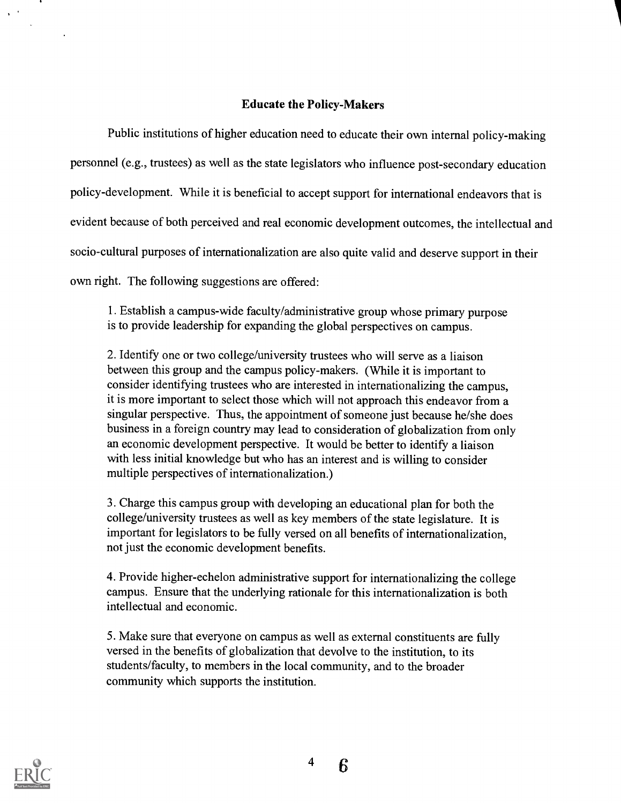## Educate the Policy-Makers

I

Public institutions of higher education need to educate their own internal policy-making personnel (e.g., trustees) as well as the state legislators who influence post-secondary education policy-development. While it is beneficial to accept support for international endeavors that is evident because of both perceived and real economic development outcomes, the intellectual and socio-cultural purposes of internationalization are also quite valid and deserve support in their own right. The following suggestions are offered:

1. Establish a campus-wide faculty/administrative group whose primary purpose is to provide leadership for expanding the global perspectives on campus.

2. Identify one or two college/university trustees who will serve as a liaison between this group and the campus policy-makers. (While it is important to consider identifying trustees who are interested in internationalizing the campus, it is more important to select those which will not approach this endeavor froma singular perspective. Thus, the appointment of someone just because he/she does business in a foreign country may lead to consideration of globalization from only an economic development perspective. It would be better to identify a liaison with less initial knowledge but who has an interest and is willing to consider multiple perspectives of internationalization.)

3. Charge this campus group with developing an educational plan for both the college/university trustees as well as key members of the state legislature. It is important for legislators to be fully versed on all benefits of internationalization, not just the economic development benefits.

4. Provide higher-echelon administrative support for internationalizing the college campus. Ensure that the underlying rationale for this internationalization is both intellectual and economic.

5. Make sure that everyone on campus as well as external constituents are fully versed in the benefits of globalization that devolve to the institution, to its students/faculty, to members in the local community, and to the broader community which supports the institution.



 $\chi=4$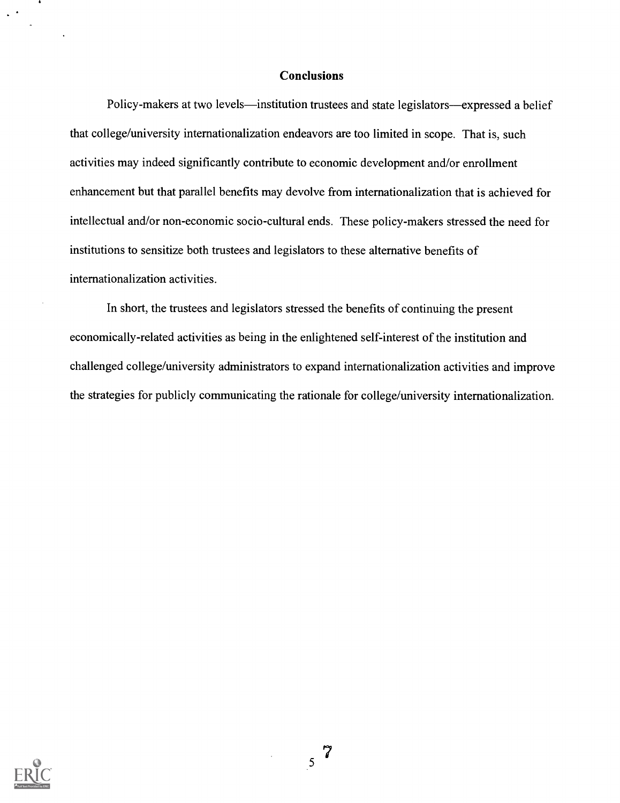#### **Conclusions**

Policy-makers at two levels—institution trustees and state legislators—expressed a belief that college/university internationalization endeavors are too limited in scope. That is, such activities may indeed significantly contribute to economic development and/or enrollment enhancement but that parallel benefits may devolve from internationalization that is achieved for intellectual and/or non-economic socio-cultural ends. These policy-makers stressed the need for institutions to sensitize both trustees and legislators to these alternative benefits of internationalization activities.

In short, the trustees and legislators stressed the benefits of continuing the present economically-related activities as being in the enlightened self-interest of the institution and challenged college/university administrators to expand internationalization activities and improve the strategies for publicly communicating the rationale for college/university internationalization.



 $\sim$   $^{\prime}$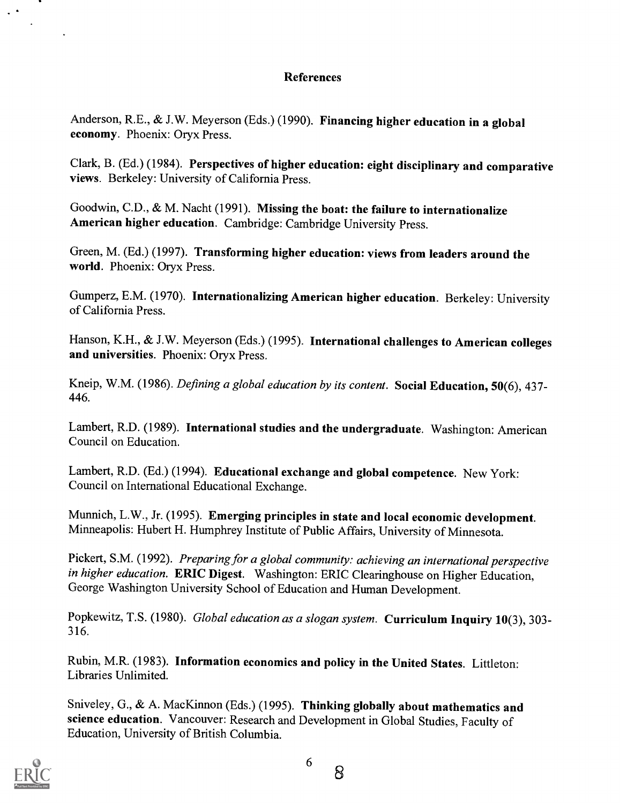## References

Anderson, R.E., & J.W. Meyerson (Eds.) (1990). Financing higher education in a global economy. Phoenix: Oryx Press.

Clark, B. (Ed.) (1984). Perspectives of higher education: eight disciplinary and comparative views. Berkeley: University of California Press.

Goodwin, C.D., & M. Nacht (1991). Missing the boat: the failure to internationalize American higher education. Cambridge: Cambridge University Press.

Green, M. (Ed.) (1997). Transforming higher education: views from leaders around the world. Phoenix: Oryx Press.

Gumperz, E.M. (1970). Internationalizing American higher education. Berkeley: University of California Press.

Hanson, K.H., & J.W. Meyerson (Eds.) (1995). International challenges to American colleges and universities. Phoenix: Oryx Press.

Kneip, W.M. (1986). Defining a global education by its content. Social Education, 50(6), 437-446.

Lambert, R.D. (1989). International studies and the undergraduate. Washington: American Council on Education.

Lambert, R.D. (Ed.) (1994). Educational exchange and global competence. New York: Council on International Educational Exchange.

Munnich, L.W., Jr. (1995). Emerging principles in state and local economic development. Minneapolis: Hubert H. Humphrey Institute of Public Affairs, University of Minnesota.

Pickert, S.M. (1992). Preparing for a global community: achieving an international perspective in higher education. ERIC Digest. Washington: ERIC Clearinghouse on Higher Education, George Washington University School of Education and Human Development.

Popkewitz, T.S. (1980). Global education as a slogan system. Curriculum Inquiry 10(3), 303-316.

Rubin, M.R. (1983). Information economics and policy in the United States. Littleton: Libraries Unlimited.

Sniveley, G., & A. MacKinnon (Eds.) (1995). Thinking globally about mathematics and science education. Vancouver: Research and Development in Global Studies, Faculty of Education, University of British Columbia.



 $\mathbf{v}^{(i)}$ 

6

8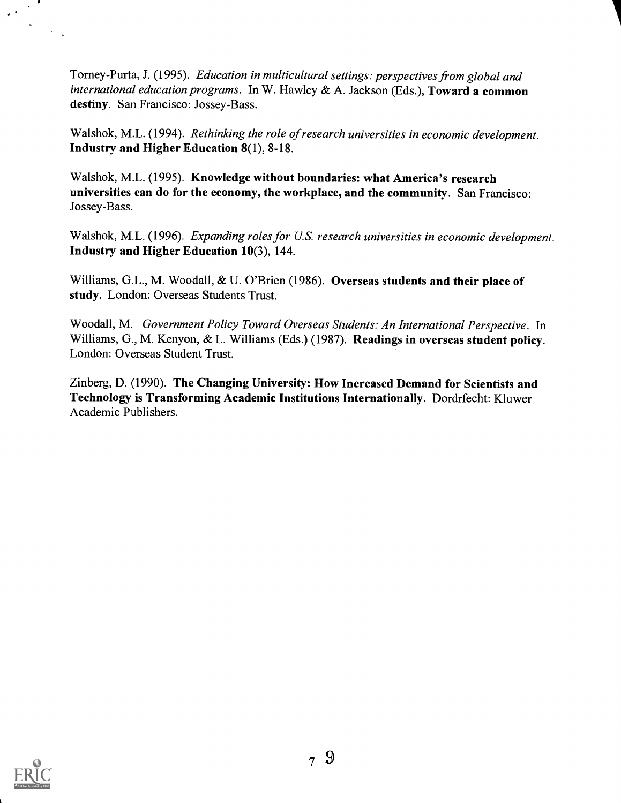Torney-Purta, J. (1995). Education in multicultural settings: perspectives from global and international education programs. In W. Hawley & A. Jackson (Eds.), Toward a common destiny. San Francisco: Jossey-Bass.

Walshok, M.L. (1994). Rethinking the role of research universities in economic development. Industry and Higher Education 8(1), 8-18.

Walshok, M.L. (1995). Knowledge without boundaries: what America's research universities can do for the economy, the workplace, and the community. San Francisco: Jossey-Bass.

Walshok, M.L. (1996). Expanding roles for U.S. research universities in economic development. Industry and Higher Education 10(3), 144.

Williams, G.L., M. Woodall, & U. O'Brien (1986). Overseas students and their place of study. London: Overseas Students Trust.

Woodall, M. Government Policy Toward Overseas Students: An International Perspective. In Williams, G., M. Kenyon, & L. Williams (Eds.) (1987). Readings in overseas student policy. London: Overseas Student Trust.

Zinberg, D. (1990). The Changing University: How Increased Demand for Scientists and Technology is Transforming Academic Institutions Internationally. Dordrfecht: Kluwer Academic Publishers.



 $\ddot{\phantom{1}}$